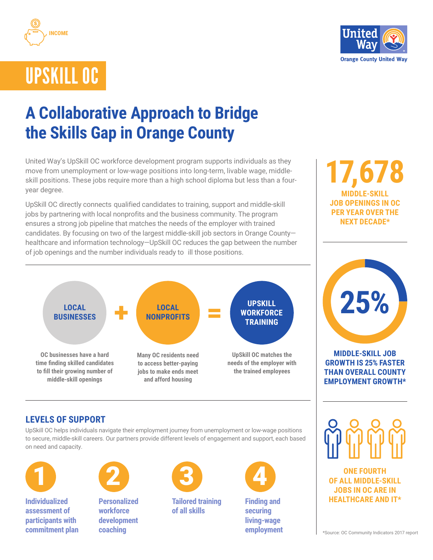



# UPSKILL OC

# **A Collaborative Approach to Bridge the Skills Gap in Orange County**

United Way's UpSkill OC workforce development program supports individuals as they move from unemployment or low-wage positions into long-term, livable wage, middleskill positions. These jobs require more than a high school diploma but less than a fouryear degree.

UpSkill OC directly connects qualified candidates to training, support and middle-skill jobs by partnering with local nonprofits and the business community. The program ensures a strong job pipeline that matches the needs of the employer with trained candidates. By focusing on two of the largest middle-skill job sectors in Orange County healthcare and information technology—UpSkill OC reduces the gap between the number of job openings and the number individuals ready to ill those positions.

#### **OC businesses have a hard time finding skilled candidates to fill their growing number of middle-skill openings Many OC residents need to access better-paying jobs to make ends meet and afford housing UpSkill OC matches the needs of the employer with the trained employees LOCAL BUSINESSES**  $+$  **LOCAL**<br>**BUSINESSES**  $+$  **MONPROFITS NONPROFITS UPSKILL WORKFORCE TRAINING**

# **17,678 MIDDLE-SKILL JOB OPENINGS IN OC PER YEAR OVER THE NEXT DECADE\***



#### **MIDDLE-SKILL JOB GROWTH IS 25% FASTER THAN OVERALL COUNTY EMPLOYMENT GROWTH\***

# **LEVELS OF SUPPORT**

UpSkill OC helps individuals navigate their employment journey from unemployment or low-wage positions to secure, middle-skill careers. Our partners provide different levels of engagement and support, each based on need and capacity.



**Individualized assessment of participants with commitment plan**



**Personalized workforce development coaching**



**Tailored training of all skills**



**Finding and securing living-wage employment**

**ONE FOURTH OF ALL MIDDLE-SKILL JOBS IN OC ARE IN HEALTHCARE AND IT\***